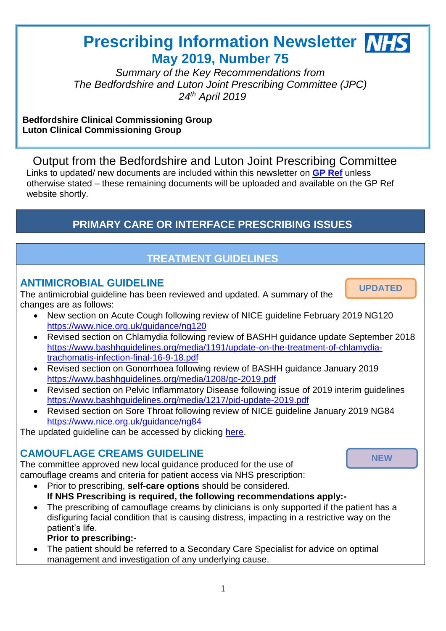# **Prescribing Information Newsletter NHS May 2019, Number 75**

Ī.

**UPDATED**

**NEW**

*Summary of the Key Recommendations from The Bedfordshire and Luton Joint Prescribing Committee (JPC) 24th April 2019*

#### **Bedfordshire Clinical Commissioning Group Luton Clinical Commissioning Group**

Output from the Bedfordshire and Luton Joint Prescribing Committee Links to updated/ new documents are included within this newsletter on **[GP Ref](http://www.gpref.bedfordshire.nhs.uk/referrals/bedfordshire-and-luton-joint-prescribing-committee-(jpc).aspx)** unless otherwise stated – these remaining documents will be uploaded and available on the GP Ref website shortly.

### **PRIMARY CARE OR INTERFACE PRESCRIBING ISSUES** *28th November 2018*

# **TREATMENT GUIDELINES**

### **ANTIMICROBIAL GUIDELINE**

The antimicrobial guideline has been reviewed and updated. A summary of the changes are as follows:

- New section on Acute Cough following review of NICE guideline February 2019 NG120 <https://www.nice.org.uk/guidance/ng120>
- Revised section on Chlamydia following review of BASHH guidance update September 2018 [https://www.bashhguidelines.org/media/1191/update-on-the-treatment-of-chlamydia](https://www.bashhguidelines.org/media/1191/update-on-the-treatment-of-chlamydia-trachomatis-infection-final-16-9-18.pdf)[trachomatis-infection-final-16-9-18.pdf](https://www.bashhguidelines.org/media/1191/update-on-the-treatment-of-chlamydia-trachomatis-infection-final-16-9-18.pdf)
- Revised section on Gonorrhoea following review of BASHH guidance January 2019 <https://www.bashhguidelines.org/media/1208/gc-2019.pdf>
- Revised section on Pelvic Inflammatory Disease following issue of 2019 interim guidelines <https://www.bashhguidelines.org/media/1217/pid-update-2019.pdf>
- Revised section on Sore Throat following review of NICE guideline January 2019 NG84 <https://www.nice.org.uk/guidance/ng84>

The updated guideline can be accessed by clicking [here.](http://www.gpref.bedfordshire.nhs.uk/referrals/bedfordshire-and-luton-joint-prescribing-committee-(jpc)/jpc-guidelines/antimicrobial-guidelines.aspx)

## **CAMOUFLAGE CREAMS GUIDELINE**

The committee approved new local guidance produced for the use of camouflage creams and criteria for patient access via NHS prescription:

- Prior to prescribing, **self-care options** should be considered. **If NHS Prescribing is required, the following recommendations apply:-**
- The prescribing of camouflage creams by clinicians is only supported if the patient has a disfiguring facial condition that is causing distress, impacting in a restrictive way on the patient's life.
- **Prior to prescribing:-**
- The patient should be referred to a Secondary Care Specialist for advice on optimal management and investigation of any underlying cause.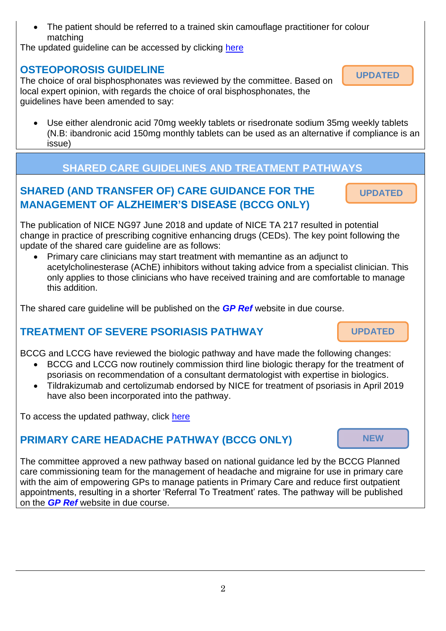The patient should be referred to a trained skin camouflage practitioner for colour matching

The updated quideline can be accessed by clicking [here](http://www.gpref.bedfordshire.nhs.uk/media/219729/camouflagecreamsmay2019.pdf)

### **OSTEOPOROSIS GUIDELINE**

The choice of oral bisphosphonates was reviewed by the committee. Based on local expert opinion, with regards the choice of oral bisphosphonates, the guidelines have been amended to say:

 Use either alendronic acid 70mg weekly tablets or risedronate sodium 35mg weekly tablets (N.B: ibandronic acid 150mg monthly tablets can be used as an alternative if compliance is an issue)

# **SHARED CARE GUIDELINES AND TREATMENT PATHWAYS**

# **SHARED (AND TRANSFER OF) CARE GUIDANCE FOR THE MANAGEMENT OF ALZHEIMER'S DISEASE (BCCG ONLY)**

The publication of NICE NG97 June 2018 and update of NICE TA 217 resulted in potential change in practice of prescribing cognitive enhancing drugs (CEDs). The key point following the update of the shared care guideline are as follows:

 Primary care clinicians may start treatment with memantine as an adjunct to acetylcholinesterase (AChE) inhibitors without taking advice from a specialist clinician. This only applies to those clinicians who have received training and are comfortable to manage this addition.

The shared care guideline will be published on the *[GP Ref](http://www.gpref.bedfordshire.nhs.uk/referrals/bedfordshire-and-luton-joint-prescribing-committee-(jpc).aspx)* website in due course.

# **TREATMENT OF SEVERE PSORIASIS PATHWAY**

BCCG and LCCG have reviewed the biologic pathway and have made the following changes:

- BCCG and LCCG now routinely commission third line biologic therapy for the treatment of psoriasis on recommendation of a consultant dermatologist with expertise in biologics.
- Tildrakizumab and certolizumab endorsed by NICE for treatment of psoriasis in April 2019 have also been incorporated into the pathway.

To access the updated pathway, click [here](http://www.gpref.bedfordshire.nhs.uk/media/219433/psoriasistreatmentpathway.pdf)

# **PRIMARY CARE HEADACHE PATHWAY (BCCG ONLY)**

The committee approved a new pathway based on national guidance led by the BCCG Planned care commissioning team for the management of headache and migraine for use in primary care with the aim of empowering GPs to manage patients in Primary Care and reduce first outpatient appointments, resulting in a shorter 'Referral To Treatment' rates. The pathway will be published on the *[GP Ref](http://www.gpref.bedfordshire.nhs.uk/referrals/bedfordshire-and-luton-joint-prescribing-committee-(jpc).aspx)* website in due course.



**NEW**

**UPDATED**

**UPDATED**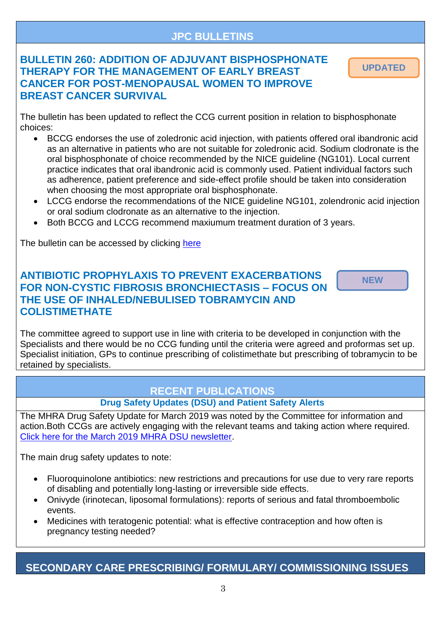#### **JPC BULLETINS**

### **BULLETIN 260: ADDITION OF ADJUVANT BISPHOSPHONATE THERAPY FOR THE MANAGEMENT OF EARLY BREAST CANCER FOR POST-MENOPAUSAL WOMEN TO IMPROVE BREAST CANCER SURVIVAL**

**UPDATED**

The bulletin has been updated to reflect the CCG current position in relation to bisphosphonate choices:

- BCCG endorses the use of zoledronic acid injection, with patients offered oral ibandronic acid as an alternative in patients who are not suitable for zoledronic acid. Sodium clodronate is the oral bisphosphonate of choice recommended by the NICE guideline (NG101). Local current practice indicates that oral ibandronic acid is commonly used. Patient individual factors such as adherence, patient preference and side-effect profile should be taken into consideration when choosing the most appropriate oral bisphosphonate.
- LCCG endorse the recommendations of the NICE guideline NG101, zolendronic acid injection or oral sodium clodronate as an alternative to the injection.
- Both BCCG and LCCG recommend maxiumum treatment duration of 3 years.

The bulletin can be accessed by clicking [here](http://www.gpref.bedfordshire.nhs.uk/media/219436/bulletin260_bisphosphonatesearlybreastcancer.pdf)

#### **ANTIBIOTIC PROPHYLAXIS TO PREVENT EXACERBATIONS FOR NON-CYSTIC FIBROSIS BRONCHIECTASIS – FOCUS ON THE USE OF INHALED/NEBULISED TOBRAMYCIN AND COLISTIMETHATE**

**NEW**

The committee agreed to support use in line with criteria to be developed in conjunction with the Specialists and there would be no CCG funding until the criteria were agreed and proformas set up. Specialist initiation, GPs to continue prescribing of colistimethate but prescribing of tobramycin to be retained by specialists.

### **RECENT PUBLICATIONS**

#### **Drug Safety Updates (DSU) and Patient Safety Alerts**

The MHRA Drug Safety Update for March 2019 was noted by the Committee for information and action.Both CCGs are actively engaging with the relevant teams and taking action where required. [Click here for the March 2019 MHRA DSU newsletter.](https://assets.publishing.service.gov.uk/government/uploads/system/uploads/attachment_data/file/787952/March-2019-PDF-final.pdf)

The main drug safety updates to note:

- Fluoroquinolone antibiotics: new restrictions and precautions for use due to very rare reports of disabling and potentially long-lasting or irreversible side effects.
- Onivyde (irinotecan, liposomal formulations): reports of serious and fatal thromboembolic events.
- Medicines with teratogenic potential: what is effective contraception and how often is pregnancy testing needed?

#### **SECONDARY CARE PRESCRIBING/ FORMULARY/ COMMISSIONING ISSUES**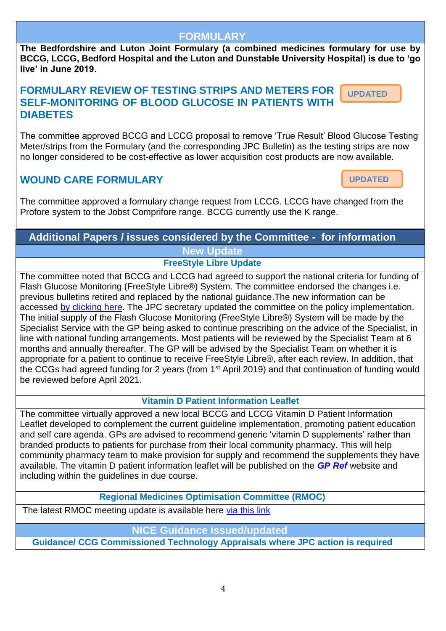#### **FORMULARY**

**The Bedfordshire and Luton Joint Formulary (a combined medicines formulary for use by BCCG, LCCG, Bedford Hospital and the Luton and Dunstable University Hospital) is due to 'go live' in June 2019.** 

#### **FORMULARY REVIEW OF TESTING STRIPS AND METERS FOR SELF-MONITORING OF BLOOD GLUCOSE IN PATIENTS WITH DIABETES UPDATED**

The committee approved BCCG and LCCG proposal to remove 'True Result' Blood Glucose Testing Meter/strips from the Formulary (and the corresponding JPC Bulletin) as the testing strips are now no longer considered to be cost-effective as lower acquisition cost products are now available.

### **WOUND CARE FORMULARY**

The committee approved a formulary change request from LCCG. LCCG have changed from the Profore system to the Jobst Comprifore range. BCCG currently use the K range.

# **Additional Papers / issues considered by the Committee - for information New Update**

**FreeStyle Libre Update**

The committee noted that BCCG and LCCG had agreed to support the national criteria for funding of Flash Glucose Monitoring (FreeStyle Libre®) System. The committee endorsed the changes i.e. previous bulletins retired and replaced by the national guidance.The new information can be accessed [by clicking here.](http://www.gpref.bedfordshire.nhs.uk/referrals/bedfordshire-and-luton-joint-prescribing-committee-(jpc)/flash-glucose-monitoring-system.aspx) The JPC secretary updated the committee on the policy implementation. The initial supply of the Flash Glucose Monitoring (FreeStyle Libre®) System will be made by the Specialist Service with the GP being asked to continue prescribing on the advice of the Specialist, in line with national funding arrangements. Most patients will be reviewed by the Specialist Team at 6 months and annually thereafter. The GP will be advised by the Specialist Team on whether it is appropriate for a patient to continue to receive FreeStyle Libre®, after each review. In addition, that the CCGs had agreed funding for 2 years (from 1<sup>st</sup> April 2019) and that continuation of funding would be reviewed before April 2021.

#### **Vitamin D Patient Information Leaflet**

The committee virtually approved a new local BCCG and LCCG Vitamin D Patient Information Leaflet developed to complement the current guideline implementation, promoting patient education and self care agenda. GPs are advised to recommend generic 'vitamin D supplements' rather than branded products to patients for purchase from their local community pharmacy. This will help community pharmacy team to make provision for supply and recommend the supplements they have available. The vitamin D patient information leaflet will be published on the *[GP Ref](http://www.gpref.bedfordshire.nhs.uk/referrals/bedfordshire-and-luton-joint-prescribing-committee-(jpc).aspx)* website and including within the guidelines in due course.

**Regional Medicines Optimisation Committee (RMOC)**

The latest RMOC meeting update is available here [via this link](https://www.sps.nhs.uk/articles/regional-medicines-optimisation-committee-newsletter-issue-2-2019/)

#### **NICE Guidance issued/updated**

**Guidance/ CCG Commissioned Technology Appraisals where JPC action is required** 

**UPDATED**